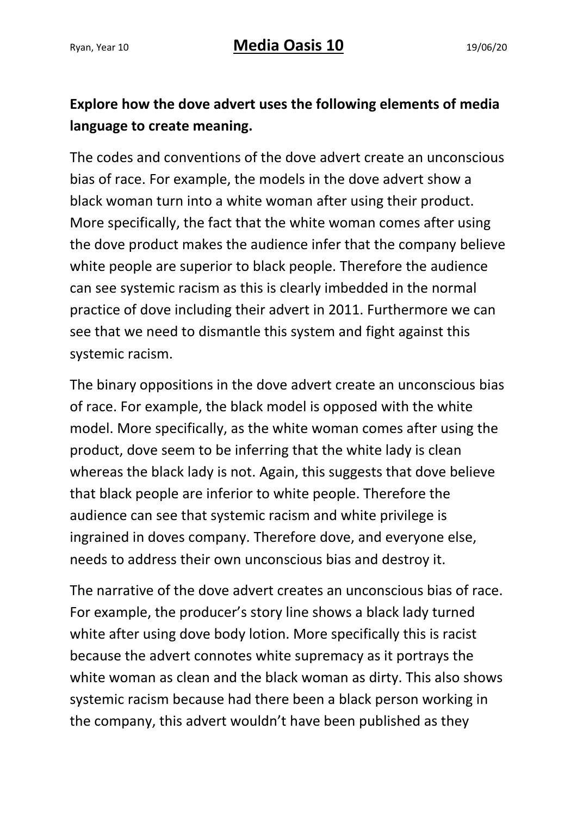## **Explore how the dove advert uses the following elements of media language to create meaning.**

The codes and conventions of the dove advert create an unconscious bias of race. For example, the models in the dove advert show a black woman turn into a white woman after using their product. More specifically, the fact that the white woman comes after using the dove product makes the audience infer that the company believe white people are superior to black people. Therefore the audience can see systemic racism as this is clearly imbedded in the normal practice of dove including their advert in 2011. Furthermore we can see that we need to dismantle this system and fight against this systemic racism.

The binary oppositions in the dove advert create an unconscious bias of race. For example, the black model is opposed with the white model. More specifically, as the white woman comes after using the product, dove seem to be inferring that the white lady is clean whereas the black lady is not. Again, this suggests that dove believe that black people are inferior to white people. Therefore the audience can see that systemic racism and white privilege is ingrained in doves company. Therefore dove, and everyone else, needs to address their own unconscious bias and destroy it.

The narrative of the dove advert creates an unconscious bias of race. For example, the producer's story line shows a black lady turned white after using dove body lotion. More specifically this is racist because the advert connotes white supremacy as it portrays the white woman as clean and the black woman as dirty. This also shows systemic racism because had there been a black person working in the company, this advert wouldn't have been published as they